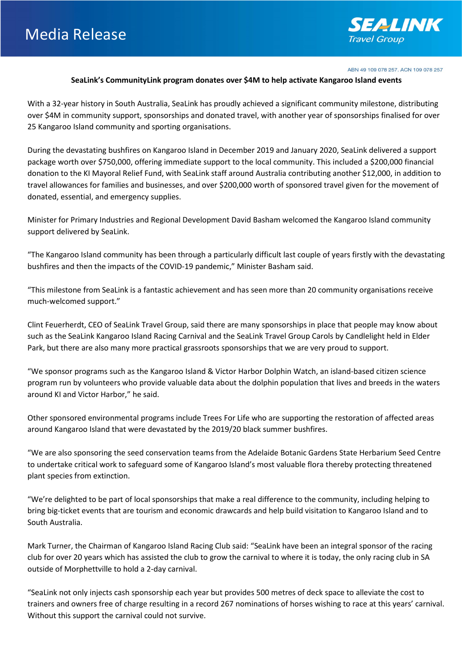

ABN 49 109 078 257. ACN 109 078 257

## **SeaLink's CommunityLink program donates over \$4M to help activate Kangaroo Island events**

With a 32-year history in South Australia, SeaLink has proudly achieved a significant community milestone, distributing over \$4M in community support, sponsorships and donated travel, with another year of sponsorships finalised for over 25 Kangaroo Island community and sporting organisations.

During the devastating bushfires on Kangaroo Island in December 2019 and January 2020, SeaLink delivered a support package worth over \$750,000, offering immediate support to the local community. This included a \$200,000 financial donation to the KI Mayoral Relief Fund, with SeaLink staff around Australia contributing another \$12,000, in addition to travel allowances for families and businesses, and over \$200,000 worth of sponsored travel given for the movement of donated, essential, and emergency supplies.

Minister for Primary Industries and Regional Development David Basham welcomed the Kangaroo Island community support delivered by SeaLink.

"The Kangaroo Island community has been through a particularly difficult last couple of years firstly with the devastating bushfires and then the impacts of the COVID-19 pandemic," Minister Basham said.

"This milestone from SeaLink is a fantastic achievement and has seen more than 20 community organisations receive much-welcomed support."

Clint Feuerherdt, CEO of SeaLink Travel Group, said there are many sponsorships in place that people may know about such as the SeaLink Kangaroo Island Racing Carnival and the SeaLink Travel Group Carols by Candlelight held in Elder Park, but there are also many more practical grassroots sponsorships that we are very proud to support.

"We sponsor programs such as the Kangaroo Island & Victor Harbor Dolphin Watch, an island-based citizen science program run by volunteers who provide valuable data about the dolphin population that lives and breeds in the waters around KI and Victor Harbor," he said.

Other sponsored environmental programs include Trees For Life who are supporting the restoration of affected areas around Kangaroo Island that were devastated by the 2019/20 black summer bushfires.

"We are also sponsoring the seed conservation teams from the Adelaide Botanic Gardens State Herbarium Seed Centre to undertake critical work to safeguard some of Kangaroo Island's most valuable flora thereby protecting threatened plant species from extinction.

"We're delighted to be part of local sponsorships that make a real difference to the community, including helping to bring big-ticket events that are tourism and economic drawcards and help build visitation to Kangaroo Island and to South Australia.

Mark Turner, the Chairman of Kangaroo Island Racing Club said: "SeaLink have been an integral sponsor of the racing club for over 20 years which has assisted the club to grow the carnival to where it is today, the only racing club in SA outside of Morphettville to hold a 2-day carnival.

"SeaLink not only injects cash sponsorship each year but provides 500 metres of deck space to alleviate the cost to trainers and owners free of charge resulting in a record 267 nominations of horses wishing to race at this years' carnival. Without this support the carnival could not survive.